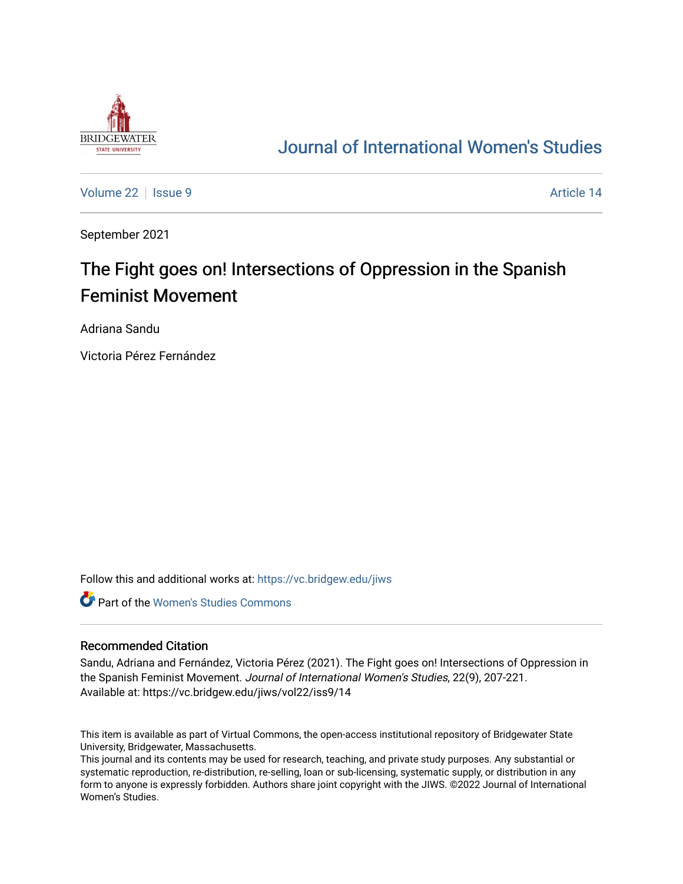

# [Journal of International Women's Studies](https://vc.bridgew.edu/jiws)

[Volume 22](https://vc.bridgew.edu/jiws/vol22) | [Issue 9](https://vc.bridgew.edu/jiws/vol22/iss9) Article 14

September 2021

# The Fight goes on! Intersections of Oppression in the Spanish Feminist Movement

Adriana Sandu

Victoria Pérez Fernández

Follow this and additional works at: [https://vc.bridgew.edu/jiws](https://vc.bridgew.edu/jiws?utm_source=vc.bridgew.edu%2Fjiws%2Fvol22%2Fiss9%2F14&utm_medium=PDF&utm_campaign=PDFCoverPages)

**C** Part of the Women's Studies Commons

#### Recommended Citation

Sandu, Adriana and Fernández, Victoria Pérez (2021). The Fight goes on! Intersections of Oppression in the Spanish Feminist Movement. Journal of International Women's Studies, 22(9), 207-221. Available at: https://vc.bridgew.edu/jiws/vol22/iss9/14

This item is available as part of Virtual Commons, the open-access institutional repository of Bridgewater State University, Bridgewater, Massachusetts.

This journal and its contents may be used for research, teaching, and private study purposes. Any substantial or systematic reproduction, re-distribution, re-selling, loan or sub-licensing, systematic supply, or distribution in any form to anyone is expressly forbidden. Authors share joint copyright with the JIWS. ©2022 Journal of International Women's Studies.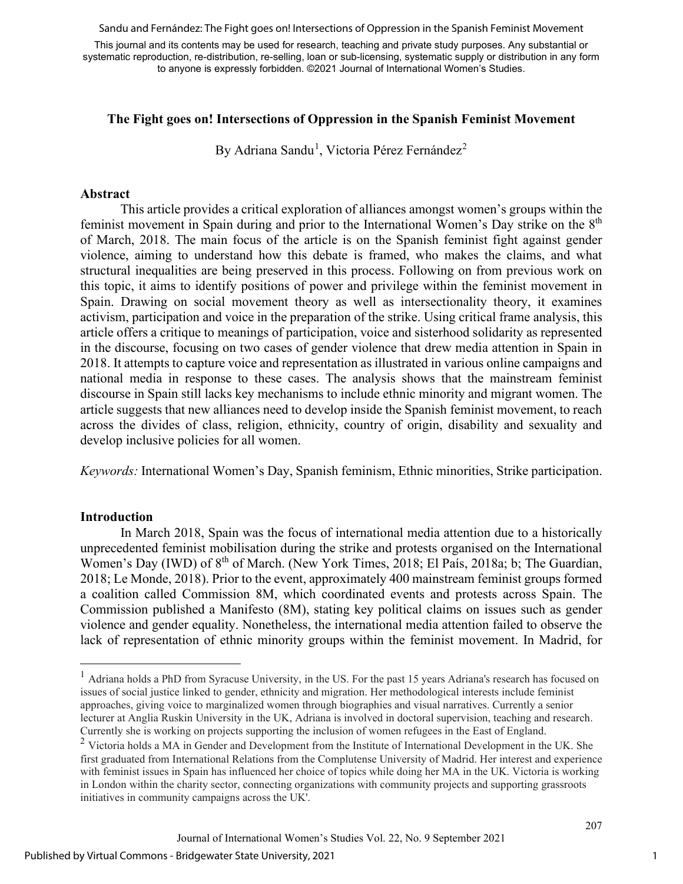Sandu and Fernández: The Fight goes on! Intersections of Oppression in the Spanish Feminist Movement

This journal and its contents may be used for research, teaching and private study purposes. Any substantial or systematic reproduction, re-distribution, re-selling, loan or sub-licensing, systematic supply or distribution in any form to anyone is expressly forbidden. ©2021 Journal of International Women's Studies.

#### **The Fight goes on! Intersections of Oppression in the Spanish Feminist Movement**

By Adriana Sandu<sup>[1](#page-1-0)</sup>, Victoria Pérez Fernández<sup>[2](#page-1-1)</sup>

#### **Abstract**

This article provides a critical exploration of alliances amongst women's groups within the feminist movement in Spain during and prior to the International Women's Day strike on the 8<sup>th</sup> of March, 2018. The main focus of the article is on the Spanish feminist fight against gender violence, aiming to understand how this debate is framed, who makes the claims, and what structural inequalities are being preserved in this process. Following on from previous work on this topic, it aims to identify positions of power and privilege within the feminist movement in Spain. Drawing on social movement theory as well as intersectionality theory, it examines activism, participation and voice in the preparation of the strike. Using critical frame analysis, this article offers a critique to meanings of participation, voice and sisterhood solidarity as represented in the discourse, focusing on two cases of gender violence that drew media attention in Spain in 2018. It attempts to capture voice and representation as illustrated in various online campaigns and national media in response to these cases. The analysis shows that the mainstream feminist discourse in Spain still lacks key mechanisms to include ethnic minority and migrant women. The article suggests that new alliances need to develop inside the Spanish feminist movement, to reach across the divides of class, religion, ethnicity, country of origin, disability and sexuality and develop inclusive policies for all women.

*Keywords:* International Women's Day, Spanish feminism, Ethnic minorities, Strike participation.

#### **Introduction**

In March 2018, Spain was the focus of international media attention due to a historically unprecedented feminist mobilisation during the strike and protests organised on the International Women's Day (IWD) of 8<sup>th</sup> of March. (New York Times, 2018; El País, 2018a; b; The Guardian, 2018; Le Monde, 2018). Prior to the event, approximately 400 mainstream feminist groups formed a coalition called Commission 8M, which coordinated events and protests across Spain. The Commission published a Manifesto (8M), stating key political claims on issues such as gender violence and gender equality. Nonetheless, the international media attention failed to observe the lack of representation of ethnic minority groups within the feminist movement. In Madrid, for

<span id="page-1-0"></span><sup>&</sup>lt;sup>1</sup> Adriana holds a PhD from Syracuse University, in the US. For the past 15 years Adriana's research has focused on issues of social justice linked to gender, ethnicity and migration. Her methodological interests include feminist approaches, giving voice to marginalized women through biographies and visual narratives. Currently a senior lecturer at Anglia Ruskin University in the UK, Adriana is involved in doctoral supervision, teaching and research. Currently she is working on projects supporting the inclusion of women refugees in the East of England.

<span id="page-1-1"></span><sup>&</sup>lt;sup>2</sup> Victoria holds a MA in Gender and Development from the Institute of International Development in the UK. She first graduated from International Relations from the Complutense University of Madrid. Her interest and experience with feminist issues in Spain has influenced her choice of topics while doing her MA in the UK. Victoria is working in London within the charity sector, connecting organizations with community projects and supporting grassroots initiatives in community campaigns across the UK'.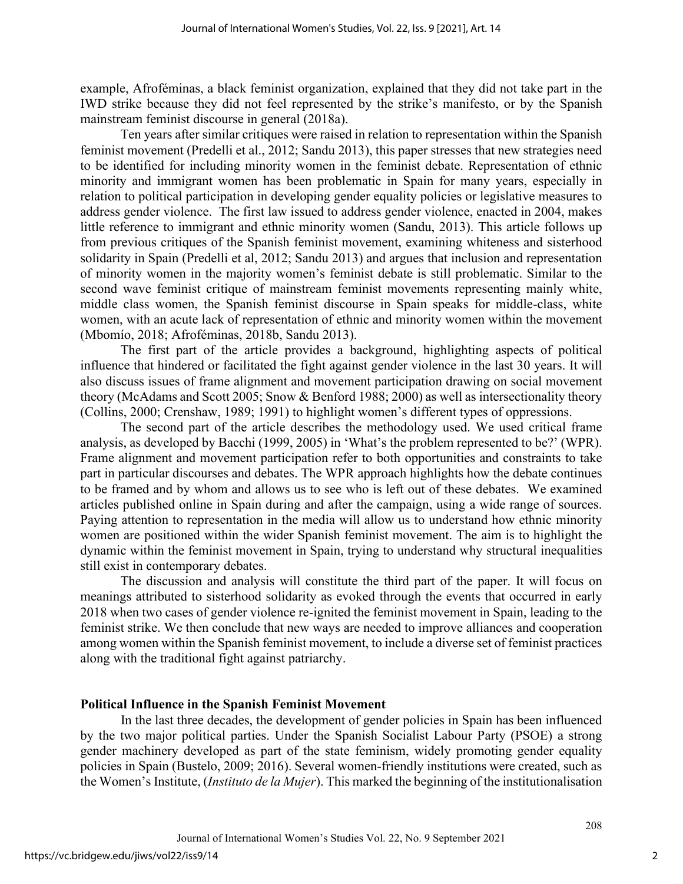example, Afroféminas, a black feminist organization, explained that they did not take part in the IWD strike because they did not feel represented by the strike's manifesto, or by the Spanish mainstream feminist discourse in general (2018a).

Ten years after similar critiques were raised in relation to representation within the Spanish feminist movement (Predelli et al., 2012; Sandu 2013), this paper stresses that new strategies need to be identified for including minority women in the feminist debate. Representation of ethnic minority and immigrant women has been problematic in Spain for many years, especially in relation to political participation in developing gender equality policies or legislative measures to address gender violence. The first law issued to address gender violence, enacted in 2004, makes little reference to immigrant and ethnic minority women (Sandu, 2013). This article follows up from previous critiques of the Spanish feminist movement, examining whiteness and sisterhood solidarity in Spain (Predelli et al, 2012; Sandu 2013) and argues that inclusion and representation of minority women in the majority women's feminist debate is still problematic. Similar to the second wave feminist critique of mainstream feminist movements representing mainly white, middle class women, the Spanish feminist discourse in Spain speaks for middle-class, white women, with an acute lack of representation of ethnic and minority women within the movement (Mbomío, 2018; Afroféminas, 2018b, Sandu 2013).

The first part of the article provides a background, highlighting aspects of political influence that hindered or facilitated the fight against gender violence in the last 30 years. It will also discuss issues of frame alignment and movement participation drawing on social movement theory (McAdams and Scott 2005; Snow & Benford 1988; 2000) as well as intersectionality theory (Collins, 2000; Crenshaw, 1989; 1991) to highlight women's different types of oppressions.

The second part of the article describes the methodology used. We used critical frame analysis, as developed by Bacchi (1999, 2005) in 'What's the problem represented to be?' (WPR). Frame alignment and movement participation refer to both opportunities and constraints to take part in particular discourses and debates. The WPR approach highlights how the debate continues to be framed and by whom and allows us to see who is left out of these debates. We examined articles published online in Spain during and after the campaign, using a wide range of sources. Paying attention to representation in the media will allow us to understand how ethnic minority women are positioned within the wider Spanish feminist movement. The aim is to highlight the dynamic within the feminist movement in Spain, trying to understand why structural inequalities still exist in contemporary debates.

The discussion and analysis will constitute the third part of the paper. It will focus on meanings attributed to sisterhood solidarity as evoked through the events that occurred in early 2018 when two cases of gender violence re-ignited the feminist movement in Spain, leading to the feminist strike. We then conclude that new ways are needed to improve alliances and cooperation among women within the Spanish feminist movement, to include a diverse set of feminist practices along with the traditional fight against patriarchy.

#### **Political Influence in the Spanish Feminist Movement**

In the last three decades, the development of gender policies in Spain has been influenced by the two major political parties. Under the Spanish Socialist Labour Party (PSOE) a strong gender machinery developed as part of the state feminism, widely promoting gender equality policies in Spain (Bustelo, 2009; 2016). Several women-friendly institutions were created, such as the Women's Institute, (*Instituto de la Mujer*). This marked the beginning of the institutionalisation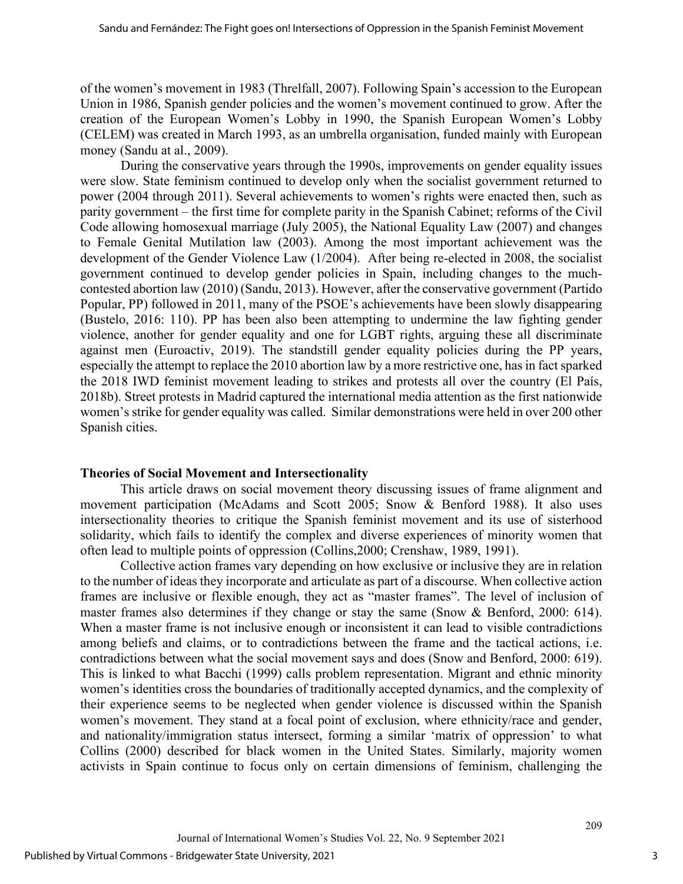of the women's movement in 1983 (Threlfall, 2007). Following Spain's accession to the European Union in 1986, Spanish gender policies and the women's movement continued to grow. After the creation of the European Women's Lobby in 1990, the Spanish European Women's Lobby (CELEM) was created in March 1993, as an umbrella organisation, funded mainly with European money (Sandu at al., 2009).

During the conservative years through the 1990s, improvements on gender equality issues were slow. State feminism continued to develop only when the socialist government returned to power (2004 through 2011). Several achievements to women's rights were enacted then, such as parity government – the first time for complete parity in the Spanish Cabinet; reforms of the Civil Code allowing homosexual marriage (July 2005), the National Equality Law (2007) and changes to Female Genital Mutilation law (2003). Among the most important achievement was the development of the Gender Violence Law (1/2004). After being re-elected in 2008, the socialist government continued to develop gender policies in Spain, including changes to the muchcontested abortion law (2010) (Sandu, 2013). However, after the conservative government (Partido Popular, PP) followed in 2011, many of the PSOE's achievements have been slowly disappearing (Bustelo, 2016: 110). PP has been also been attempting to undermine the law fighting gender violence, another for gender equality and one for LGBT rights, arguing these all discriminate against men (Euroactiv, 2019). The standstill gender equality policies during the PP years, especially the attempt to replace the 2010 abortion law by a more restrictive one, has in fact sparked the 2018 IWD feminist movement leading to strikes and protests all over the country (El País, 2018b). Street protests in Madrid captured the international media attention as the first nationwide women's strike for gender equality was called. Similar demonstrations were held in over 200 other Spanish cities.

#### **Theories of Social Movement and Intersectionality**

This article draws on social movement theory discussing issues of frame alignment and movement participation (McAdams and Scott 2005; Snow & Benford 1988). It also uses intersectionality theories to critique the Spanish feminist movement and its use of sisterhood solidarity, which fails to identify the complex and diverse experiences of minority women that often lead to multiple points of oppression (Collins,2000; Crenshaw, 1989, 1991).

Collective action frames vary depending on how exclusive or inclusive they are in relation to the number of ideas they incorporate and articulate as part of a discourse. When collective action frames are inclusive or flexible enough, they act as "master frames". The level of inclusion of master frames also determines if they change or stay the same (Snow & Benford, 2000: 614). When a master frame is not inclusive enough or inconsistent it can lead to visible contradictions among beliefs and claims, or to contradictions between the frame and the tactical actions, i.e. contradictions between what the social movement says and does (Snow and Benford, 2000: 619). This is linked to what Bacchi (1999) calls problem representation. Migrant and ethnic minority women's identities cross the boundaries of traditionally accepted dynamics, and the complexity of their experience seems to be neglected when gender violence is discussed within the Spanish women's movement. They stand at a focal point of exclusion, where ethnicity/race and gender, and nationality/immigration status intersect, forming a similar 'matrix of oppression' to what Collins (2000) described for black women in the United States. Similarly, majority women activists in Spain continue to focus only on certain dimensions of feminism, challenging the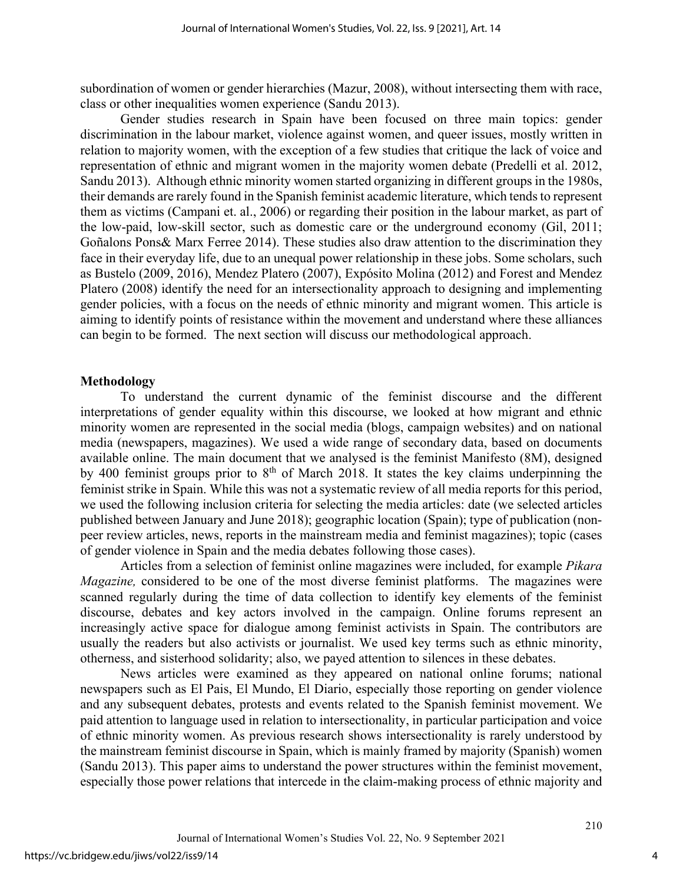subordination of women or gender hierarchies (Mazur, 2008), without intersecting them with race, class or other inequalities women experience (Sandu 2013).

Gender studies research in Spain have been focused on three main topics: gender discrimination in the labour market, violence against women, and queer issues, mostly written in relation to majority women, with the exception of a few studies that critique the lack of voice and representation of ethnic and migrant women in the majority women debate (Predelli et al. 2012, Sandu 2013). Although ethnic minority women started organizing in different groups in the 1980s, their demands are rarely found in the Spanish feminist academic literature, which tends to represent them as victims (Campani et. al., 2006) or regarding their position in the labour market, as part of the low-paid, low-skill sector, such as domestic care or the underground economy (Gil, 2011; Goñalons Pons& Marx Ferree 2014). These studies also draw attention to the discrimination they face in their everyday life, due to an unequal power relationship in these jobs. Some scholars, such as Bustelo (2009, 2016), Mendez Platero (2007), Expósito Molina (2012) and Forest and Mendez Platero (2008) identify the need for an intersectionality approach to designing and implementing gender policies, with a focus on the needs of ethnic minority and migrant women. This article is aiming to identify points of resistance within the movement and understand where these alliances can begin to be formed. The next section will discuss our methodological approach.

#### **Methodology**

To understand the current dynamic of the feminist discourse and the different interpretations of gender equality within this discourse, we looked at how migrant and ethnic minority women are represented in the social media (blogs, campaign websites) and on national media (newspapers, magazines). We used a wide range of secondary data, based on documents available online. The main document that we analysed is the feminist Manifesto (8M), designed by 400 feminist groups prior to  $8<sup>th</sup>$  of March 2018. It states the key claims underpinning the feminist strike in Spain. While this was not a systematic review of all media reports for this period, we used the following inclusion criteria for selecting the media articles: date (we selected articles published between January and June 2018); geographic location (Spain); type of publication (nonpeer review articles, news, reports in the mainstream media and feminist magazines); topic (cases of gender violence in Spain and the media debates following those cases).

Articles from a selection of feminist online magazines were included, for example *Pikara Magazine,* considered to be one of the most diverse feminist platforms. The magazines were scanned regularly during the time of data collection to identify key elements of the feminist discourse, debates and key actors involved in the campaign. Online forums represent an increasingly active space for dialogue among feminist activists in Spain. The contributors are usually the readers but also activists or journalist. We used key terms such as ethnic minority, otherness, and sisterhood solidarity; also, we payed attention to silences in these debates.

News articles were examined as they appeared on national online forums; national newspapers such as El Pais, El Mundo, El Diario, especially those reporting on gender violence and any subsequent debates, protests and events related to the Spanish feminist movement. We paid attention to language used in relation to intersectionality, in particular participation and voice of ethnic minority women. As previous research shows intersectionality is rarely understood by the mainstream feminist discourse in Spain, which is mainly framed by majority (Spanish) women (Sandu 2013). This paper aims to understand the power structures within the feminist movement, especially those power relations that intercede in the claim-making process of ethnic majority and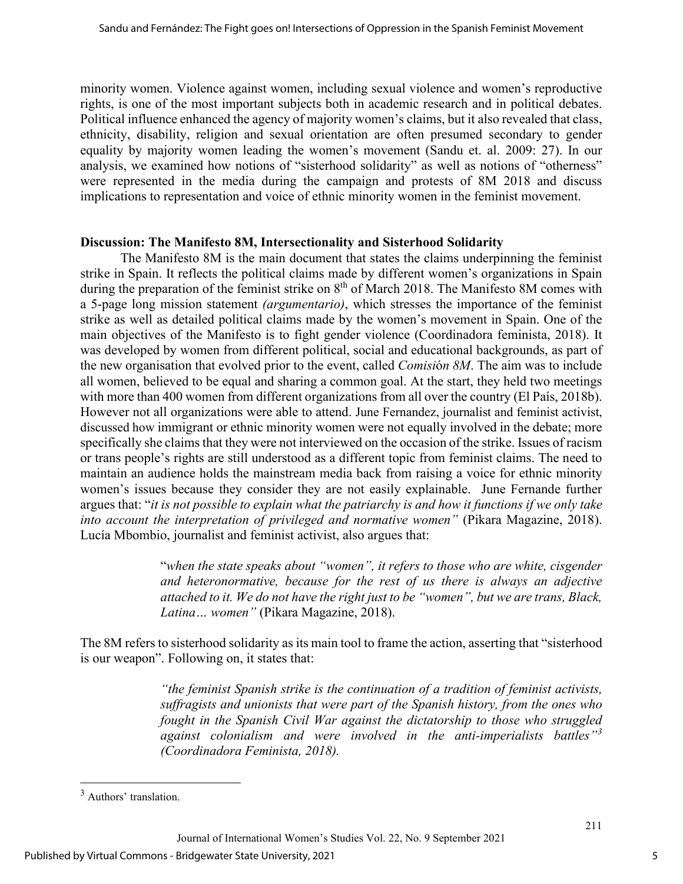minority women. Violence against women, including sexual violence and women's reproductive rights, is one of the most important subjects both in academic research and in political debates. Political influence enhanced the agency of majority women's claims, but it also revealed that class, ethnicity, disability, religion and sexual orientation are often presumed secondary to gender equality by majority women leading the women's movement (Sandu et. al. 2009: 27). In our analysis, we examined how notions of "sisterhood solidarity" as well as notions of "otherness" were represented in the media during the campaign and protests of 8M 2018 and discuss implications to representation and voice of ethnic minority women in the feminist movement.

#### **Discussion: The Manifesto 8M, Intersectionality and Sisterhood Solidarity**

The Manifesto 8M is the main document that states the claims underpinning the feminist strike in Spain. It reflects the political claims made by different women's organizations in Spain during the preparation of the feminist strike on 8<sup>th</sup> of March 2018. The Manifesto 8M comes with a 5-page long mission statement *(argumentario)*, which stresses the importance of the feminist strike as well as detailed political claims made by the women's movement in Spain. One of the main objectives of the Manifesto is to fight gender violence (Coordinadora feminista, 2018). It was developed by women from different political, social and educational backgrounds, as part of the new organisation that evolved prior to the event, called *Comisi*ó*n 8M*. The aim was to include all women, believed to be equal and sharing a common goal. At the start, they held two meetings with more than 400 women from different organizations from all over the country (El País, 2018b). However not all organizations were able to attend. June Fernandez, journalist and feminist activist, discussed how immigrant or ethnic minority women were not equally involved in the debate; more specifically she claims that they were not interviewed on the occasion of the strike. Issues of racism or trans people's rights are still understood as a different topic from feminist claims. The need to maintain an audience holds the mainstream media back from raising a voice for ethnic minority women's issues because they consider they are not easily explainable. June Fernande further argues that: "*it is not possible to explain what the patriarchy is and how it functions if we only take into account the interpretation of privileged and normative women"* (Pikara Magazine, 2018). Lucía Mbombio, journalist and feminist activist, also argues that:

> "*when the state speaks about "women", it refers to those who are white, cisgender and heteronormative, because for the rest of us there is always an adjective attached to it. We do not have the right just to be "women", but we are trans, Black, Latina… women"* (Pikara Magazine, 2018).

The 8M refers to sisterhood solidarity as its main tool to frame the action, asserting that "sisterhood is our weapon". Following on, it states that:

> *"the feminist Spanish strike is the continuation of a tradition of feminist activists, suffragists and unionists that were part of the Spanish history, from the ones who fought in the Spanish Civil War against the dictatorship to those who struggled against colonialism and were involved in the anti-imperialists battles"[3](#page-5-0) (Coordinadora Feminista, 2018).*

<span id="page-5-0"></span><sup>3</sup> Authors' translation.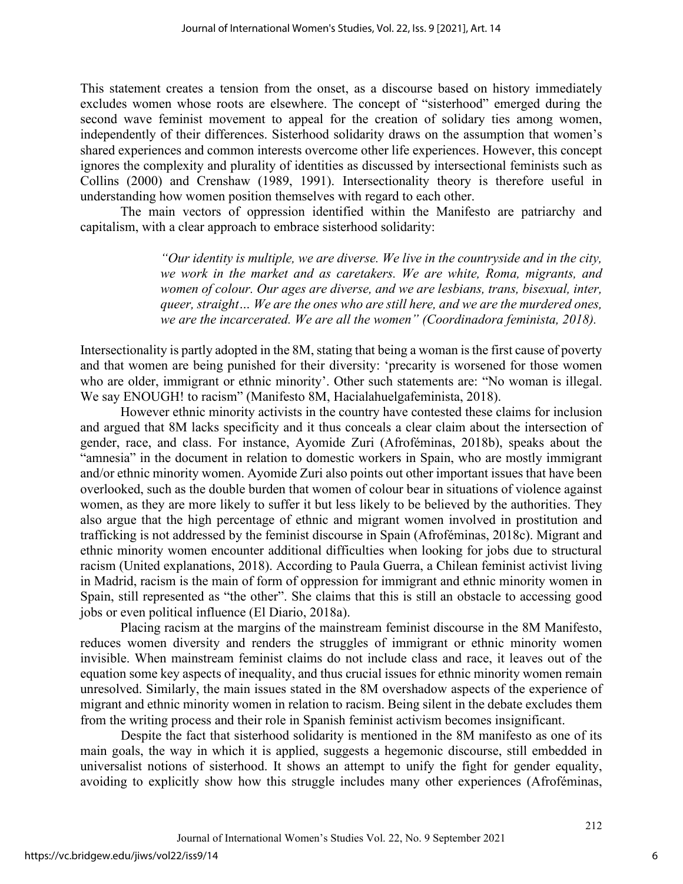This statement creates a tension from the onset, as a discourse based on history immediately excludes women whose roots are elsewhere. The concept of "sisterhood" emerged during the second wave feminist movement to appeal for the creation of solidary ties among women, independently of their differences. Sisterhood solidarity draws on the assumption that women's shared experiences and common interests overcome other life experiences. However, this concept ignores the complexity and plurality of identities as discussed by intersectional feminists such as Collins (2000) and Crenshaw (1989, 1991). Intersectionality theory is therefore useful in understanding how women position themselves with regard to each other.

The main vectors of oppression identified within the Manifesto are patriarchy and capitalism, with a clear approach to embrace sisterhood solidarity:

> *"Our identity is multiple, we are diverse. We live in the countryside and in the city, we work in the market and as caretakers. We are white, Roma, migrants, and women of colour. Our ages are diverse, and we are lesbians, trans, bisexual, inter, queer, straight… We are the ones who are still here, and we are the murdered ones, we are the incarcerated. We are all the women" (Coordinadora feminista, 2018).*

Intersectionality is partly adopted in the 8M, stating that being a woman is the first cause of poverty and that women are being punished for their diversity: 'precarity is worsened for those women who are older, immigrant or ethnic minority'. Other such statements are: "No woman is illegal. We say ENOUGH! to racism" (Manifesto 8M, Hacialahuelgafeminista, 2018).

However ethnic minority activists in the country have contested these claims for inclusion and argued that 8M lacks specificity and it thus conceals a clear claim about the intersection of gender, race, and class. For instance, Ayomide Zuri (Afroféminas, 2018b), speaks about the "amnesia" in the document in relation to domestic workers in Spain, who are mostly immigrant and/or ethnic minority women. Ayomide Zuri also points out other important issues that have been overlooked, such as the double burden that women of colour bear in situations of violence against women, as they are more likely to suffer it but less likely to be believed by the authorities. They also argue that the high percentage of ethnic and migrant women involved in prostitution and trafficking is not addressed by the feminist discourse in Spain (Afroféminas, 2018c). Migrant and ethnic minority women encounter additional difficulties when looking for jobs due to structural racism (United explanations, 2018). According to Paula Guerra, a Chilean feminist activist living in Madrid, racism is the main of form of oppression for immigrant and ethnic minority women in Spain, still represented as "the other". She claims that this is still an obstacle to accessing good jobs or even political influence (El Diario, 2018a).

Placing racism at the margins of the mainstream feminist discourse in the 8M Manifesto, reduces women diversity and renders the struggles of immigrant or ethnic minority women invisible. When mainstream feminist claims do not include class and race, it leaves out of the equation some key aspects of inequality, and thus crucial issues for ethnic minority women remain unresolved. Similarly, the main issues stated in the 8M overshadow aspects of the experience of migrant and ethnic minority women in relation to racism. Being silent in the debate excludes them from the writing process and their role in Spanish feminist activism becomes insignificant.

Despite the fact that sisterhood solidarity is mentioned in the 8M manifesto as one of its main goals, the way in which it is applied, suggests a hegemonic discourse, still embedded in universalist notions of sisterhood. It shows an attempt to unify the fight for gender equality, avoiding to explicitly show how this struggle includes many other experiences (Afroféminas,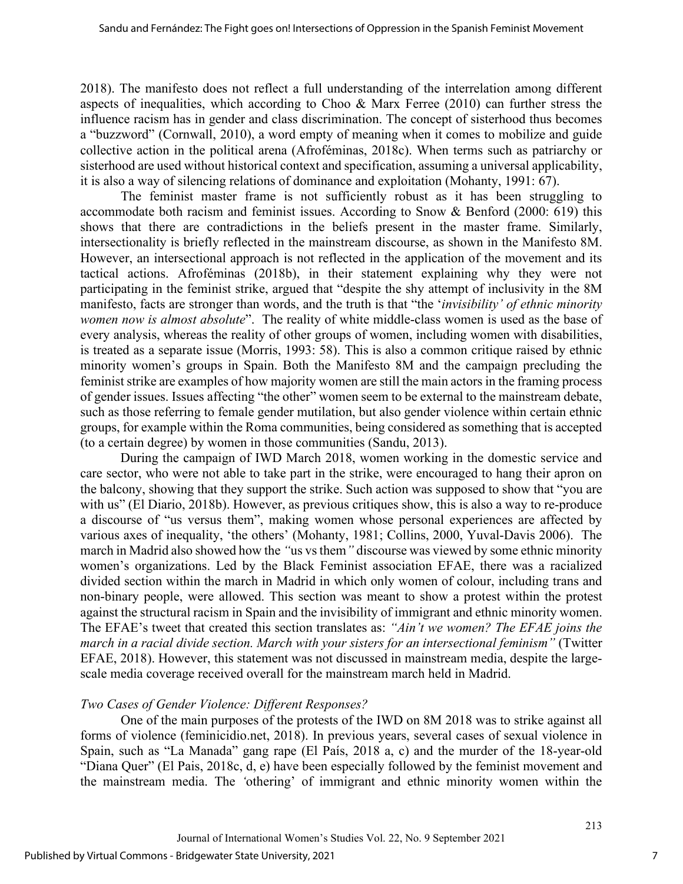2018). The manifesto does not reflect a full understanding of the interrelation among different aspects of inequalities, which according to Choo & Marx Ferree (2010) can further stress the influence racism has in gender and class discrimination. The concept of sisterhood thus becomes a "buzzword" (Cornwall, 2010), a word empty of meaning when it comes to mobilize and guide collective action in the political arena (Afroféminas, 2018c). When terms such as patriarchy or sisterhood are used without historical context and specification, assuming a universal applicability, it is also a way of silencing relations of dominance and exploitation (Mohanty, 1991: 67).

The feminist master frame is not sufficiently robust as it has been struggling to accommodate both racism and feminist issues. According to Snow & Benford (2000: 619) this shows that there are contradictions in the beliefs present in the master frame. Similarly, intersectionality is briefly reflected in the mainstream discourse, as shown in the Manifesto 8M. However, an intersectional approach is not reflected in the application of the movement and its tactical actions. Afroféminas (2018b), in their statement explaining why they were not participating in the feminist strike, argued that "despite the shy attempt of inclusivity in the 8M manifesto, facts are stronger than words, and the truth is that "the '*invisibility' of ethnic minority women now is almost absolute*". The reality of white middle-class women is used as the base of every analysis, whereas the reality of other groups of women, including women with disabilities, is treated as a separate issue (Morris, 1993: 58). This is also a common critique raised by ethnic minority women's groups in Spain. Both the Manifesto 8M and the campaign precluding the feminist strike are examples of how majority women are still the main actors in the framing process of gender issues. Issues affecting "the other" women seem to be external to the mainstream debate, such as those referring to female gender mutilation, but also gender violence within certain ethnic groups, for example within the Roma communities, being considered as something that is accepted (to a certain degree) by women in those communities (Sandu, 2013).

During the campaign of IWD March 2018, women working in the domestic service and care sector, who were not able to take part in the strike, were encouraged to hang their apron on the balcony, showing that they support the strike. Such action was supposed to show that "you are with us" (El Diario, 2018b). However, as previous critiques show, this is also a way to re-produce a discourse of "us versus them", making women whose personal experiences are affected by various axes of inequality, 'the others' (Mohanty, 1981; Collins, 2000, Yuval-Davis 2006). The march in Madrid also showed how the *"*us vs them*"* discourse was viewed by some ethnic minority women's organizations. Led by the Black Feminist association EFAE, there was a racialized divided section within the march in Madrid in which only women of colour, including trans and non-binary people, were allowed. This section was meant to show a protest within the protest against the structural racism in Spain and the invisibility of immigrant and ethnic minority women. The EFAE's tweet that created this section translates as: *"Ain't we women? The EFAE joins the march in a racial divide section. March with your sisters for an intersectional feminism"* (Twitter EFAE, 2018). However, this statement was not discussed in mainstream media, despite the largescale media coverage received overall for the mainstream march held in Madrid.

## *Two Cases of Gender Violence: Different Responses?*

One of the main purposes of the protests of the IWD on 8M 2018 was to strike against all forms of violence (feminicidio.net, 2018). In previous years, several cases of sexual violence in Spain, such as "La Manada" gang rape (El País, 2018 a, c) and the murder of the 18-year-old "Diana Quer" (El Pais, 2018c, d, e) have been especially followed by the feminist movement and the mainstream media. The *'*othering' of immigrant and ethnic minority women within the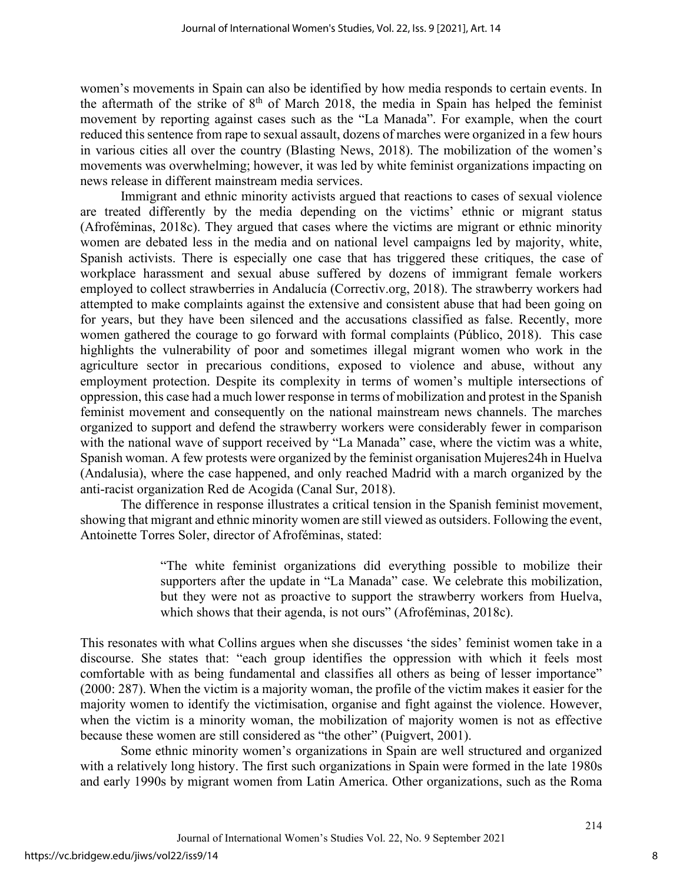women's movements in Spain can also be identified by how media responds to certain events. In the aftermath of the strike of  $8<sup>th</sup>$  of March 2018, the media in Spain has helped the feminist movement by reporting against cases such as the "La Manada". For example, when the court reduced this sentence from rape to sexual assault, dozens of marches were organized in a few hours in various cities all over the country (Blasting News, 2018). The mobilization of the women's movements was overwhelming; however, it was led by white feminist organizations impacting on news release in different mainstream media services.

Immigrant and ethnic minority activists argued that reactions to cases of sexual violence are treated differently by the media depending on the victims' ethnic or migrant status (Afroféminas, 2018c). They argued that cases where the victims are migrant or ethnic minority women are debated less in the media and on national level campaigns led by majority, white, Spanish activists. There is especially one case that has triggered these critiques, the case of workplace harassment and sexual abuse suffered by dozens of immigrant female workers employed to collect strawberries in Andalucía (Correctiv.org, 2018). The strawberry workers had attempted to make complaints against the extensive and consistent abuse that had been going on for years, but they have been silenced and the accusations classified as false. Recently, more women gathered the courage to go forward with formal complaints (Público, 2018). This case highlights the vulnerability of poor and sometimes illegal migrant women who work in the agriculture sector in precarious conditions, exposed to violence and abuse, without any employment protection. Despite its complexity in terms of women's multiple intersections of oppression, this case had a much lower response in terms of mobilization and protest in the Spanish feminist movement and consequently on the national mainstream news channels. The marches organized to support and defend the strawberry workers were considerably fewer in comparison with the national wave of support received by "La Manada" case, where the victim was a white, Spanish woman. A few protests were organized by the feminist organisation Mujeres24h in Huelva (Andalusia), where the case happened, and only reached Madrid with a march organized by the anti-racist organization Red de Acogida (Canal Sur, 2018).

The difference in response illustrates a critical tension in the Spanish feminist movement, showing that migrant and ethnic minority women are still viewed as outsiders. Following the event, Antoinette Torres Soler, director of Afroféminas, stated:

> "The white feminist organizations did everything possible to mobilize their supporters after the update in "La Manada" case. We celebrate this mobilization, but they were not as proactive to support the strawberry workers from Huelva, which shows that their agenda, is not ours" (Afroféminas, 2018c).

This resonates with what Collins argues when she discusses 'the sides' feminist women take in a discourse. She states that: "each group identifies the oppression with which it feels most comfortable with as being fundamental and classifies all others as being of lesser importance" (2000: 287). When the victim is a majority woman, the profile of the victim makes it easier for the majority women to identify the victimisation, organise and fight against the violence. However, when the victim is a minority woman, the mobilization of majority women is not as effective because these women are still considered as "the other" (Puigvert, 2001).

Some ethnic minority women's organizations in Spain are well structured and organized with a relatively long history. The first such organizations in Spain were formed in the late 1980s and early 1990s by migrant women from Latin America. Other organizations, such as the Roma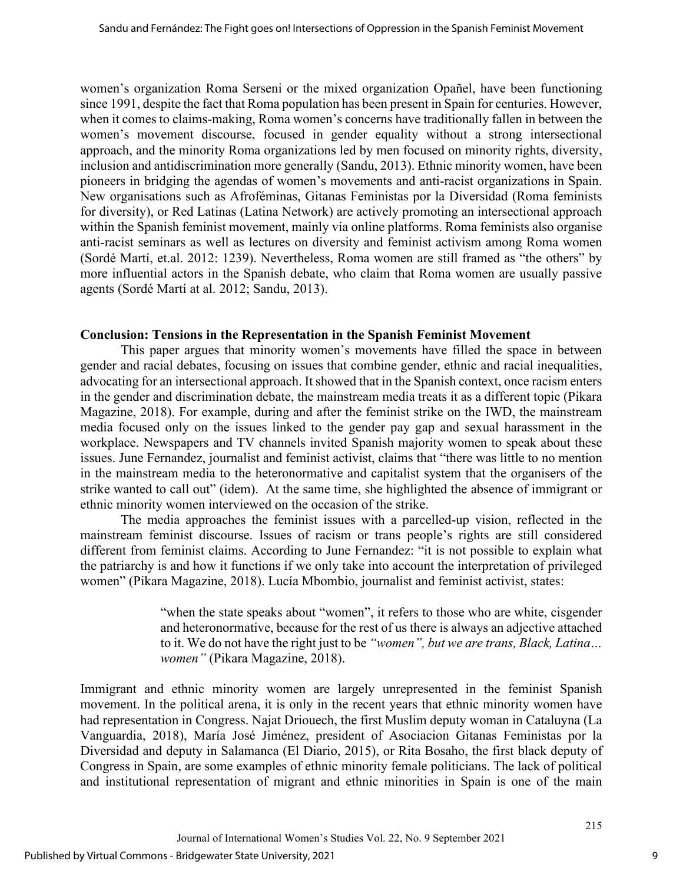women's organization Roma Serseni or the mixed organization Opañel, have been functioning since 1991, despite the fact that Roma population has been present in Spain for centuries. However, when it comes to claims-making, Roma women's concerns have traditionally fallen in between the women's movement discourse, focused in gender equality without a strong intersectional approach, and the minority Roma organizations led by men focused on minority rights, diversity, inclusion and antidiscrimination more generally (Sandu, 2013). Ethnic minority women, have been pioneers in bridging the agendas of women's movements and anti-racist organizations in Spain. New organisations such as Afroféminas, Gitanas Feministas por la Diversidad (Roma feminists for diversity), or Red Latinas (Latina Network) are actively promoting an intersectional approach within the Spanish feminist movement, mainly via online platforms. Roma feminists also organise anti-racist seminars as well as lectures on diversity and feminist activism among Roma women (Sordé Martí, et.al. 2012: 1239). Nevertheless, Roma women are still framed as "the others" by more influential actors in the Spanish debate, who claim that Roma women are usually passive agents (Sordé Martí at al. 2012; Sandu, 2013).

#### **Conclusion: Tensions in the Representation in the Spanish Feminist Movement**

This paper argues that minority women's movements have filled the space in between gender and racial debates, focusing on issues that combine gender, ethnic and racial inequalities, advocating for an intersectional approach. It showed that in the Spanish context, once racism enters in the gender and discrimination debate, the mainstream media treats it as a different topic (Pikara Magazine, 2018). For example, during and after the feminist strike on the IWD, the mainstream media focused only on the issues linked to the gender pay gap and sexual harassment in the workplace. Newspapers and TV channels invited Spanish majority women to speak about these issues. June Fernandez, journalist and feminist activist, claims that "there was little to no mention in the mainstream media to the heteronormative and capitalist system that the organisers of the strike wanted to call out" (idem). At the same time, she highlighted the absence of immigrant or ethnic minority women interviewed on the occasion of the strike.

The media approaches the feminist issues with a parcelled-up vision, reflected in the mainstream feminist discourse. Issues of racism or trans people's rights are still considered different from feminist claims. According to June Fernandez: "it is not possible to explain what the patriarchy is and how it functions if we only take into account the interpretation of privileged women" (Pikara Magazine, 2018). Lucía Mbombio, journalist and feminist activist, states:

> "when the state speaks about "women", it refers to those who are white, cisgender and heteronormative, because for the rest of us there is always an adjective attached to it. We do not have the right just to be *"women", but we are trans, Black, Latina… women"* (Pikara Magazine, 2018).

Immigrant and ethnic minority women are largely unrepresented in the feminist Spanish movement. In the political arena, it is only in the recent years that ethnic minority women have had representation in Congress. Najat Driouech, the first Muslim deputy woman in Cataluyna (La Vanguardia, 2018), María José Jiménez, president of Asociacion Gitanas Feministas por la Diversidad and deputy in Salamanca (El Diario, 2015), or Rita Bosaho, the first black deputy of Congress in Spain, are some examples of ethnic minority female politicians. The lack of political and institutional representation of migrant and ethnic minorities in Spain is one of the main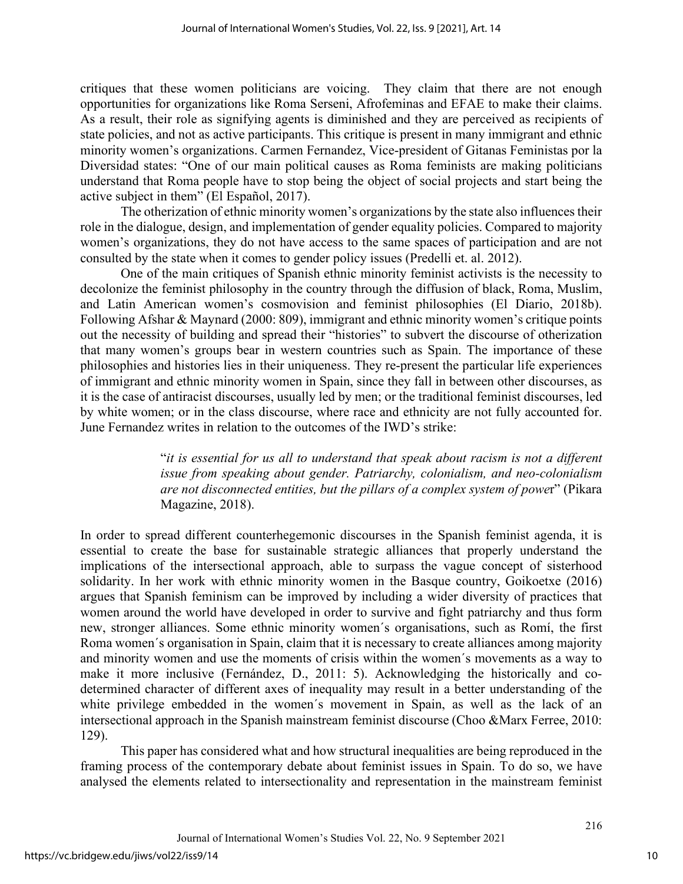critiques that these women politicians are voicing. They claim that there are not enough opportunities for organizations like Roma Serseni, Afrofeminas and EFAE to make their claims. As a result, their role as signifying agents is diminished and they are perceived as recipients of state policies, and not as active participants. This critique is present in many immigrant and ethnic minority women's organizations. Carmen Fernandez, Vice-president of Gitanas Feministas por la Diversidad states: "One of our main political causes as Roma feminists are making politicians understand that Roma people have to stop being the object of social projects and start being the active subject in them" (El Español, 2017).

The otherization of ethnic minority women's organizations by the state also influences their role in the dialogue, design, and implementation of gender equality policies. Compared to majority women's organizations, they do not have access to the same spaces of participation and are not consulted by the state when it comes to gender policy issues (Predelli et. al. 2012).

One of the main critiques of Spanish ethnic minority feminist activists is the necessity to decolonize the feminist philosophy in the country through the diffusion of black, Roma, Muslim, and Latin American women's cosmovision and feminist philosophies (El Diario, 2018b). Following Afshar & Maynard (2000: 809), immigrant and ethnic minority women's critique points out the necessity of building and spread their "histories" to subvert the discourse of otherization that many women's groups bear in western countries such as Spain. The importance of these philosophies and histories lies in their uniqueness. They re-present the particular life experiences of immigrant and ethnic minority women in Spain, since they fall in between other discourses, as it is the case of antiracist discourses, usually led by men; or the traditional feminist discourses, led by white women; or in the class discourse, where race and ethnicity are not fully accounted for. June Fernandez writes in relation to the outcomes of the IWD's strike:

> "*it is essential for us all to understand that speak about racism is not a different issue from speaking about gender. Patriarchy, colonialism, and neo-colonialism are not disconnected entities, but the pillars of a complex system of powe*r" (Pikara Magazine, 2018).

In order to spread different counterhegemonic discourses in the Spanish feminist agenda, it is essential to create the base for sustainable strategic alliances that properly understand the implications of the intersectional approach, able to surpass the vague concept of sisterhood solidarity. In her work with ethnic minority women in the Basque country, Goikoetxe (2016) argues that Spanish feminism can be improved by including a wider diversity of practices that women around the world have developed in order to survive and fight patriarchy and thus form new, stronger alliances. Some ethnic minority women´s organisations, such as Romí, the first Roma women´s organisation in Spain, claim that it is necessary to create alliances among majority and minority women and use the moments of crisis within the women´s movements as a way to make it more inclusive (Fernández, D., 2011: 5). Acknowledging the historically and codetermined character of different axes of inequality may result in a better understanding of the white privilege embedded in the women´s movement in Spain, as well as the lack of an intersectional approach in the Spanish mainstream feminist discourse (Choo &Marx Ferree, 2010: 129).

This paper has considered what and how structural inequalities are being reproduced in the framing process of the contemporary debate about feminist issues in Spain. To do so, we have analysed the elements related to intersectionality and representation in the mainstream feminist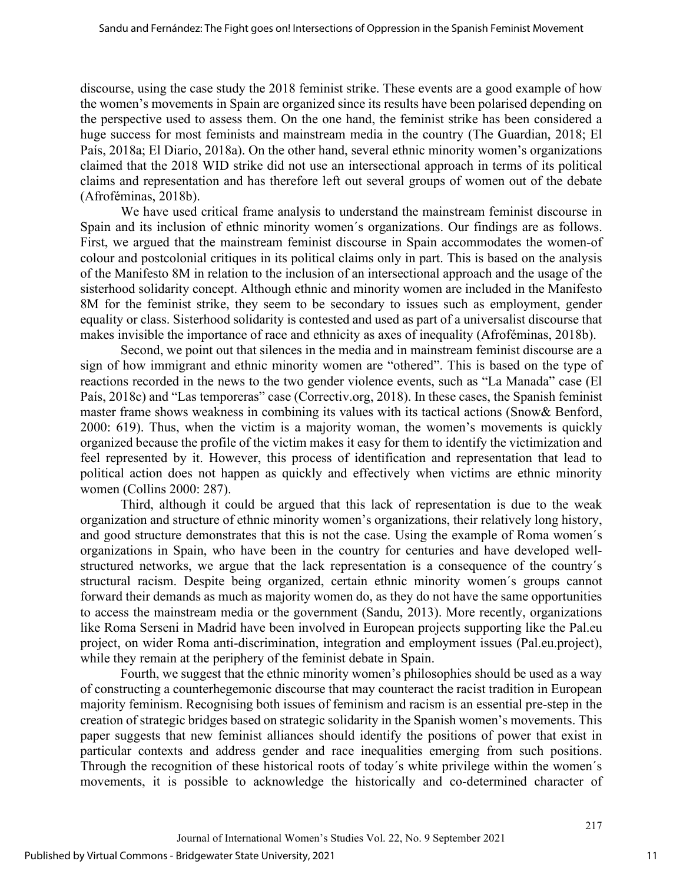discourse, using the case study the 2018 feminist strike. These events are a good example of how the women's movements in Spain are organized since its results have been polarised depending on the perspective used to assess them. On the one hand, the feminist strike has been considered a huge success for most feminists and mainstream media in the country (The Guardian, 2018; El País, 2018a; El Diario, 2018a). On the other hand, several ethnic minority women's organizations claimed that the 2018 WID strike did not use an intersectional approach in terms of its political claims and representation and has therefore left out several groups of women out of the debate (Afroféminas, 2018b).

We have used critical frame analysis to understand the mainstream feminist discourse in Spain and its inclusion of ethnic minority women´s organizations. Our findings are as follows. First, we argued that the mainstream feminist discourse in Spain accommodates the women-of colour and postcolonial critiques in its political claims only in part. This is based on the analysis of the Manifesto 8M in relation to the inclusion of an intersectional approach and the usage of the sisterhood solidarity concept. Although ethnic and minority women are included in the Manifesto 8M for the feminist strike, they seem to be secondary to issues such as employment, gender equality or class. Sisterhood solidarity is contested and used as part of a universalist discourse that makes invisible the importance of race and ethnicity as axes of inequality (Afroféminas, 2018b).

Second, we point out that silences in the media and in mainstream feminist discourse are a sign of how immigrant and ethnic minority women are "othered". This is based on the type of reactions recorded in the news to the two gender violence events, such as "La Manada" case (El País, 2018c) and "Las temporeras" case (Correctiv.org, 2018). In these cases, the Spanish feminist master frame shows weakness in combining its values with its tactical actions (Snow& Benford, 2000: 619). Thus, when the victim is a majority woman, the women's movements is quickly organized because the profile of the victim makes it easy for them to identify the victimization and feel represented by it. However, this process of identification and representation that lead to political action does not happen as quickly and effectively when victims are ethnic minority women (Collins 2000: 287).

Third, although it could be argued that this lack of representation is due to the weak organization and structure of ethnic minority women's organizations, their relatively long history, and good structure demonstrates that this is not the case. Using the example of Roma women´s organizations in Spain, who have been in the country for centuries and have developed wellstructured networks, we argue that the lack representation is a consequence of the country´s structural racism. Despite being organized, certain ethnic minority women´s groups cannot forward their demands as much as majority women do, as they do not have the same opportunities to access the mainstream media or the government (Sandu, 2013). More recently, organizations like Roma Serseni in Madrid have been involved in European projects supporting like the Pal.eu project, on wider Roma anti-discrimination, integration and employment issues (Pal.eu.project), while they remain at the periphery of the feminist debate in Spain.

Fourth, we suggest that the ethnic minority women's philosophies should be used as a way of constructing a counterhegemonic discourse that may counteract the racist tradition in European majority feminism. Recognising both issues of feminism and racism is an essential pre-step in the creation of strategic bridges based on strategic solidarity in the Spanish women's movements. This paper suggests that new feminist alliances should identify the positions of power that exist in particular contexts and address gender and race inequalities emerging from such positions. Through the recognition of these historical roots of today´s white privilege within the women´s movements, it is possible to acknowledge the historically and co-determined character of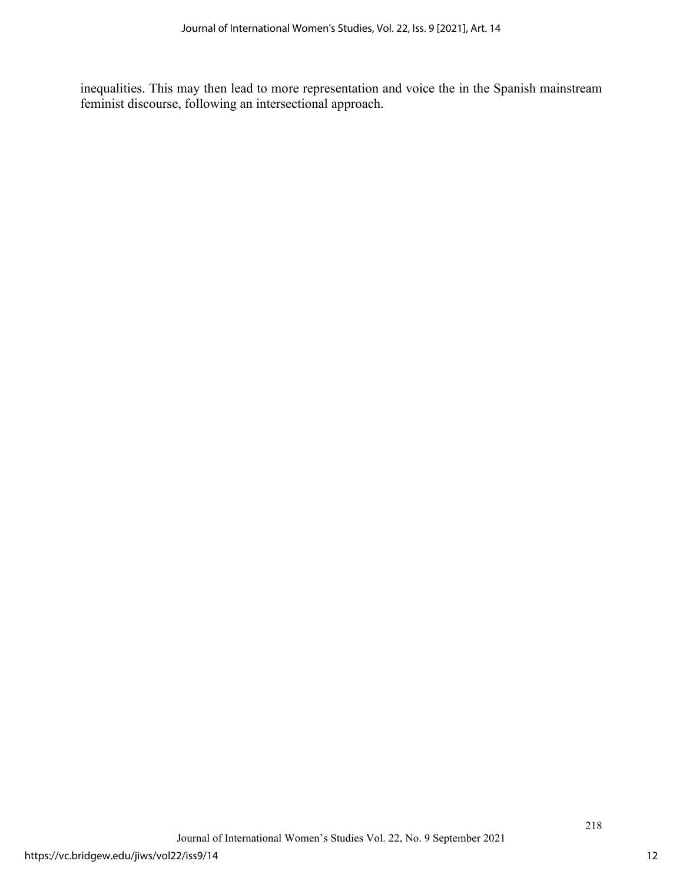inequalities. This may then lead to more representation and voice the in the Spanish mainstream feminist discourse, following an intersectional approach.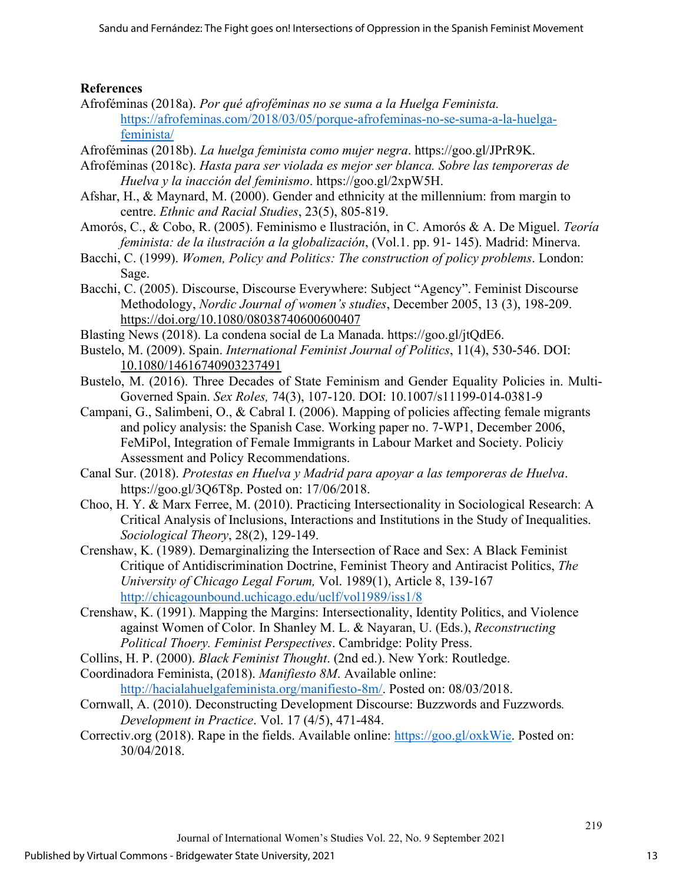### **References**

- Afroféminas (2018a). *Por qué afroféminas no se suma a la Huelga Feminista.* [https://afrofeminas.com/2018/03/05/porque-afrofeminas-no-se-suma-a-la-huelga](https://afrofeminas.com/2018/03/05/porque-afrofeminas-no-se-suma-a-la-huelga-feminista/)[feminista/](https://afrofeminas.com/2018/03/05/porque-afrofeminas-no-se-suma-a-la-huelga-feminista/)
- Afroféminas (2018b). *La huelga feminista como mujer negra*. [https://goo.gl/JPrR9K.](https://goo.gl/JPrR9K)
- Afroféminas (2018c). *Hasta para ser violada es mejor ser blanca. Sobre las temporeras de Huelva y la inacción del feminismo*. [https://goo.gl/2xpW5H.](https://goo.gl/2xpW5H)
- Afshar, H., & Maynard, M. (2000). Gender and ethnicity at the millennium: from margin to centre. *Ethnic and Racial Studies*, 23(5), 805-819.
- Amorós, C., & Cobo, R. (2005). Feminismo e Ilustración, in C. Amorós & A. De Miguel. *Teoría feminista: de la ilustración a la globalización*, (Vol.1. pp. 91- 145). Madrid: Minerva.
- Bacchi, C. (1999). *Women, Policy and Politics: The construction of policy problems*. London: Sage.
- Bacchi, C. (2005). Discourse, Discourse Everywhere: Subject "Agency". Feminist Discourse Methodology, *Nordic Journal of women's studies*, December 2005, 13 (3), 198-209. <https://doi.org/10.1080/08038740600600407>
- Blasting News (2018). La condena social de La Manada. [https://goo.gl/jtQdE6.](https://goo.gl/jtQdE6)
- Bustelo, M. (2009). Spain. *International Feminist Journal of Politics*, 11(4), 530-546. DOI: [10.1080/14616740903237491](https://doi.org/10.1080/14616740903237491)
- Bustelo, M. (2016). Three Decades of State Feminism and Gender Equality Policies in. Multi-Governed Spain. *Sex Roles,* 74(3), 107-120. DOI: 10.1007/s11199-014-0381-9
- Campani, G., Salimbeni, O., & Cabral I. (2006). Mapping of policies affecting female migrants and policy analysis: the Spanish Case. Working paper no. 7-WP1, December 2006, FeMiPol, Integration of Female Immigrants in Labour Market and Society. Policiy Assessment and Policy Recommendations.
- Canal Sur. (2018). *Protestas en Huelva y Madrid para apoyar a las temporeras de Huelva*. [https://goo.gl/3Q6T8p.](https://goo.gl/3Q6T8p) Posted on: 17/06/2018.
- Choo, H. Y. & Marx Ferree, M. (2010). Practicing Intersectionality in Sociological Research: A Critical Analysis of Inclusions, Interactions and Institutions in the Study of Inequalities. *Sociological Theory*, 28(2), 129-149.
- Crenshaw, K. (1989). Demarginalizing the Intersection of Race and Sex: A Black Feminist Critique of Antidiscrimination Doctrine, Feminist Theory and Antiracist Politics, *The University of Chicago Legal Forum,* Vol. 1989(1), Article 8, 139-167 <http://chicagounbound.uchicago.edu/uclf/vol1989/iss1/8>
- Crenshaw, K. (1991). Mapping the Margins: Intersectionality, Identity Politics, and Violence against Women of Color. In Shanley M. L. & Nayaran, U. (Eds.), *Reconstructing Political Thoery. Feminist Perspectives*. Cambridge: Polity Press.
- Collins, H. P. (2000). *Black Feminist Thought*. (2nd ed.). New York: Routledge.
- Coordinadora Feminis[ta,](http://www.feministas.org/) (2018). *Manifiesto 8M*. Available online: [http://hacialahuelgafeminista.org/manifiesto-8m/.](http://hacialahuelgafeminista.org/manifiesto-8m/) Posted on: 08/03/2018.
- Cornwall, A. (2010). Deconstructing Development Discourse: Buzzwords and Fuzzwords*. Development in Practice*. Vol. 17 (4/5), 471-484.
- Correctiv.org (2018). Rape in the fields. Available online: [https://goo.gl/oxkWie.](https://goo.gl/oxkWie) Posted on: 30/04/2018.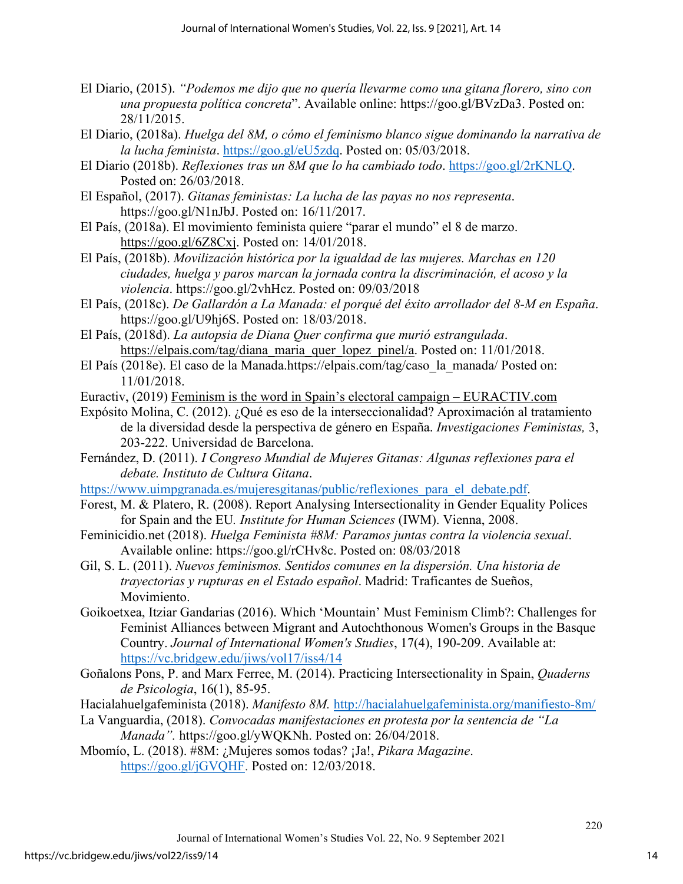- El Diario, (2015). *"Podemos me dijo que no quería llevarme como una gitana florero, sino con una propuesta política concreta*". Available onlin[e: https://goo.gl/BVzDa3.](https://goo.gl/BVzDa3) Posted on: 28/11/2015.
- El Diario, (2018a). *Huelga del 8M, o cómo el feminismo blanco sigue dominando la narrativa de la lucha feminista*. [https://goo.gl/eU5zdq.](https://goo.gl/eU5zdq) Posted on: 05/03/2018.
- El Diario (2018b). *Reflexiones tras un 8M que lo ha cambiado todo*. [https://goo.gl/2rKNLQ.](https://goo.gl/2rKNLQ) Posted on: 26/03/2018.
- El Español, (2017). *Gitanas feministas: La lucha de las payas no nos representa*. [https://goo.gl/N1nJbJ.](https://goo.gl/N1nJbJ) Posted on: 16/11/2017.
- El País, (2018a). El movimiento feminista quiere "parar el mundo" el 8 de marzo. [https://goo.gl/6Z8Cxj.](https://goo.gl/6Z8Cxj) Posted on: 14/01/2018.
- El País, (2018b). *Movilización histórica por la igualdad de las mujeres. Marchas en 120 ciudades, huelga y paros marcan la jornada contra la discriminación, el acoso y la violencia*. [https://goo.gl/2vhHcz.](https://goo.gl/2vhHcz) Posted on: 09/03/2018
- El País, (2018c). *De Gallardón a La Manada: el porqué del éxito arrollador del 8-M en España*. [https://goo.gl/U9hj6S.](https://goo.gl/U9hj6S) Posted on: 18/03/2018.
- El País, (2018d). *La autopsia de Diana Quer confirma que murió estrangulada*. [https://elpais.com/tag/diana\\_maria\\_quer\\_lopez\\_pinel/a.](https://elpais.com/tag/diana_maria_quer_lopez_pinel/a) Posted on: 11/01/2018.
- El País (2018e). El caso de la Manada.https://elpais.com/tag/caso\_la\_manada/ Posted on: 11/01/2018.
- Euractiv, (2019) [Feminism is the word in Spain's electoral campaign EURACTIV.com](https://www.euractiv.com/section/eu-elections-2019/news/feminism-is-the-word-in-spains)
- Expósito Molina, C. (2012). ¿Qué es eso de la interseccionalidad? Aproximación al tratamiento de la diversidad desde la perspectiva de género en España. *Investigaciones Feministas,* 3, 203-222. Universidad de Barcelona.
- Fernández, D. (2011). *I Congreso Mundial de Mujeres Gitanas: Algunas reflexiones para el debate. Instituto de Cultura Gitana*.

[https://www.uimpgranada.es/mujeresgitanas/public/reflexiones\\_para\\_el\\_debate.pdf.](https://www.uimpgranada.es/mujeresgitanas/public/reflexiones_para_el_debate.pdf)

- Forest, M. & Platero, R. (2008). Report Analysing Intersectionality in Gender Equality Polices for Spain and the EU*. Institute for Human Sciences* (IWM). Vienna, 2008.
- Feminicidio.net (2018). *Huelga Feminista #8M: Paramos juntas contra la violencia sexual*. Available online: [https://goo.gl/rCHv8c.](https://goo.gl/rCHv8c) Posted on: 08/03/2018
- Gil, S. L. (2011). *Nuevos feminismos. Sentidos comunes en la dispersión. Una historia de trayectorias y rupturas en el Estado español*. Madrid: Traficantes de Sueños, Movimiento.
- Goikoetxea, Itziar Gandarias (2016). Which 'Mountain' Must Feminism Climb?: Challenges for Feminist Alliances between Migrant and Autochthonous Women's Groups in the Basque Country. *Journal of International Women's Studies*, 17(4), 190-209. Available at: <https://vc.bridgew.edu/jiws/vol17/iss4/14>
- Goñalons Pons, P. and Marx Ferree, M. (2014). Practicing Intersectionality in Spain, *Quaderns de Psicologia*, 16(1), 85-95.
- Hacialahuelgafeminista (2018). *Manifesto 8M.* <http://hacialahuelgafeminista.org/manifiesto-8m/>
- La Vanguardia, (2018). *Convocadas manifestaciones en protesta por la sentencia de "La Manada".* [https://goo.gl/yWQKNh.](https://goo.gl/yWQKNh) Posted on: 26/04/2018.
- Mbomío, L. (2018). #8M: ¿Mujeres somos todas? ¡Ja!, *Pikara Magazine*. [https://goo.gl/jGVQHF.](https://goo.gl/jGVQHF) Posted on: 12/03/2018.